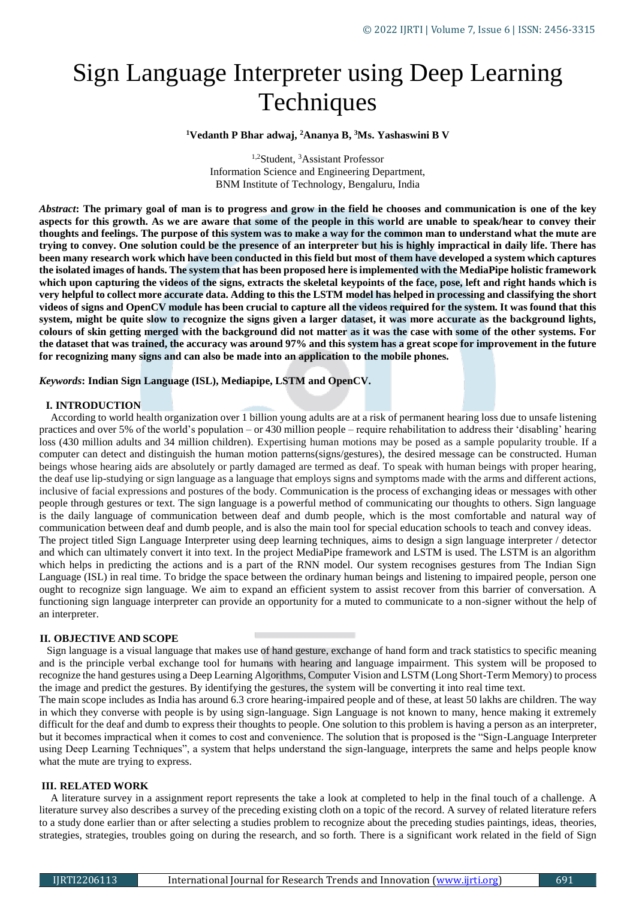# Sign Language Interpreter using Deep Learning **Techniques**

**<sup>1</sup>Vedanth P Bhar adwaj, <sup>2</sup>Ananya B, <sup>3</sup>Ms. Yashaswini B V**

1,2Student, <sup>3</sup>Assistant Professor Information Science and Engineering Department, BNM Institute of Technology, Bengaluru, India

*Abstract***: The primary goal of man is to progress and grow in the field he chooses and communication is one of the key aspects for this growth. As we are aware that some of the people in this world are unable to speak/hear to convey their thoughts and feelings. The purpose of this system was to make a way for the common man to understand what the mute are trying to convey. One solution could be the presence of an interpreter but his is highly impractical in daily life. There has been many research work which have been conducted in this field but most of them have developed a system which captures the isolated images of hands. The system that has been proposed here is implemented with the MediaPipe holistic framework which upon capturing the videos of the signs, extracts the skeletal keypoints of the face, pose, left and right hands which is very helpful to collect more accurate data. Adding to this the LSTM model has helped in processing and classifying the short videos of signs and OpenCV module has been crucial to capture all the videos required for the system. It was found that this system, might be quite slow to recognize the signs given a larger dataset, it was more accurate as the background lights, colours of skin getting merged with the background did not matter as it was the case with some of the other systems. For the dataset that was trained, the accuracy was around 97% and this system has a great scope for improvement in the future for recognizing many signs and can also be made into an application to the mobile phones.**

# *Keywords***: Indian Sign Language (ISL), Mediapipe, LSTM and OpenCV.**

# **I. INTRODUCTION**

According to world health organization over 1 billion young adults are at a risk of permanent hearing loss due to unsafe listening practices and over 5% of the world's population – or 430 million people – require rehabilitation to address their 'disabling' hearing loss (430 million adults and 34 million children). Expertising human motions may be posed as a sample popularity trouble. If a computer can detect and distinguish the human motion patterns(signs/gestures), the desired message can be constructed. Human beings whose hearing aids are absolutely or partly damaged are termed as deaf. To speak with human beings with proper hearing, the deaf use lip-studying or sign language as a language that employs signs and symptoms made with the arms and different actions, inclusive of facial expressions and postures of the body. Communication is the process of exchanging ideas or messages with other people through gestures or text. The sign language is a powerful method of communicating our thoughts to others. Sign language is the daily language of communication between deaf and dumb people, which is the most comfortable and natural way of communication between deaf and dumb people, and is also the main tool for special education schools to teach and convey ideas. The project titled Sign Language Interpreter using deep learning techniques, aims to design a sign language interpreter / detector and which can ultimately convert it into text. In the project MediaPipe framework and LSTM is used. The LSTM is an algorithm which helps in predicting the actions and is a part of the RNN model. Our system recognises gestures from The Indian Sign Language (ISL) in real time. To bridge the space between the ordinary human beings and listening to impaired people, person one ought to recognize sign language. We aim to expand an efficient system to assist recover from this barrier of conversation. A functioning sign language interpreter can provide an opportunity for a muted to communicate to a non-signer without the help of an interpreter.

# **II. OBJECTIVE AND SCOPE**

Sign language is a visual language that makes use of hand gesture, exchange of hand form and track statistics to specific meaning and is the principle verbal exchange tool for humans with hearing and language impairment. This system will be proposed to recognize the hand gestures using a Deep Learning Algorithms, Computer Vision and LSTM (Long Short-Term Memory) to process the image and predict the gestures. By identifying the gestures, the system will be converting it into real time text.

The main scope includes as India has around 6.3 crore hearing-impaired people and of these, at least 50 lakhs are children. The way in which they converse with people is by using sign-language. Sign Language is not known to many, hence making it extremely difficult for the deaf and dumb to express their thoughts to people. One solution to this problem is having a person as an interpreter, but it becomes impractical when it comes to cost and convenience. The solution that is proposed is the "Sign-Language Interpreter using Deep Learning Techniques", a system that helps understand the sign-language, interprets the same and helps people know what the mute are trying to express.

#### **III. RELATED WORK**

A literature survey in a assignment report represents the take a look at completed to help in the final touch of a challenge. A literature survey also describes a survey of the preceding existing cloth on a topic of the record. A survey of related literature refers to a study done earlier than or after selecting a studies problem to recognize about the preceding studies paintings, ideas, theories, strategies, strategies, troubles going on during the research, and so forth. There is a significant work related in the field of Sign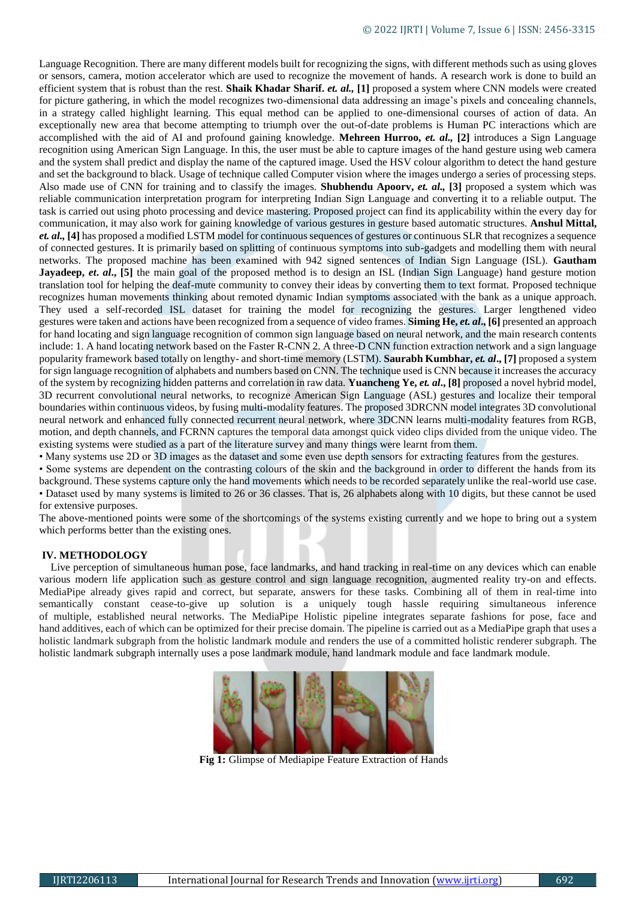Language Recognition. There are many different models built for recognizing the signs, with different methods such as using gloves or sensors, camera, motion accelerator which are used to recognize the movement of hands. A research work is done to build an efficient system that is robust than the rest. **Shaik Khadar Sharif.** *et. al.,* **[1]** proposed a system where CNN models were created for picture gathering, in which the model recognizes two-dimensional data addressing an image's pixels and concealing channels, in a strategy called highlight learning. This equal method can be applied to one-dimensional courses of action of data. An exceptionally new area that become attempting to triumph over the out-of-date problems is Human PC interactions which are accomplished with the aid of AI and profound gaining knowledge. **Mehreen Hurroo,** *et. al.,* **[2]** introduces a Sign Language recognition using American Sign Language. In this, the user must be able to capture images of the hand gesture using web camera and the system shall predict and display the name of the captured image. Used the HSV colour algorithm to detect the hand gesture and set the background to black. Usage of technique called Computer vision where the images undergo a series of processing steps. Also made use of CNN for training and to classify the images. **Shubhendu Apoorv,** *et. al.,* **[3]** proposed a system which was reliable communication interpretation program for interpreting Indian Sign Language and converting it to a reliable output. The task is carried out using photo processing and device mastering. Proposed project can find its applicability within the every day for communication, it may also work for gaining knowledge of various gestures in gesture based automatic structures. **Anshul Mittal,**  *et. al.,* **[4]** has proposed a modified LSTM model for continuous sequences of gestures or continuous SLR that recognizes a sequence of connected gestures. It is primarily based on splitting of continuous symptoms into sub-gadgets and modelling them with neural networks. The proposed machine has been examined with 942 signed sentences of Indian Sign Language (ISL). **Gautham Jayadeep,** *et. al.*, [5] the main goal of the proposed method is to design an ISL (Indian Sign Language) hand gesture motion translation tool for helping the deaf-mute community to convey their ideas by converting them to text format. Proposed technique recognizes human movements thinking about remoted dynamic Indian symptoms associated with the bank as a unique approach. They used a self-recorded ISL dataset for training the model for recognizing the gestures. Larger lengthened video gestures were taken and actions have been recognized from a sequence of video frames. **Siming He,** *et. al***., [6]** presented an approach for hand locating and sign language recognition of common sign language based on neural network, and the main research contents include: 1. A hand locating network based on the Faster R-CNN 2. A three-D CNN function extraction network and a sign language popularity framework based totally on lengthy- and short-time memory (LSTM). **Saurabh Kumbhar,** *et. al***., [7]** proposed a system for sign language recognition of alphabets and numbers based on CNN. The technique used is CNN because it increases the accuracy of the system by recognizing hidden patterns and correlation in raw data. **Yuancheng Ye,** *et. al***., [8]** proposed a novel hybrid model, 3D recurrent convolutional neural networks, to recognize American Sign Language (ASL) gestures and localize their temporal boundaries within continuous videos, by fusing multi-modality features. The proposed 3DRCNN model integrates 3D convolutional neural network and enhanced fully connected recurrent neural network, where 3DCNN learns multi-modality features from RGB, motion, and depth channels, and FCRNN captures the temporal data amongst quick video clips divided from the unique video. The existing systems were studied as a part of the literature survey and many things were learnt from them.

• Many systems use 2D or 3D images as the dataset and some even use depth sensors for extracting features from the gestures.

• Some systems are dependent on the contrasting colours of the skin and the background in order to different the hands from its background. These systems capture only the hand movements which needs to be recorded separately unlike the real-world use case. • Dataset used by many systems is limited to 26 or 36 classes. That is, 26 alphabets along with 10 digits, but these cannot be used for extensive purposes.

The above-mentioned points were some of the shortcomings of the systems existing currently and we hope to bring out a system which performs better than the existing ones.

# **IV. METHODOLOGY**

Live perception of simultaneous human pose, face landmarks, and hand tracking in real-time on any devices which can enable various modern life application such as gesture control and sign language recognition, augmented reality try-on and effects. MediaPipe already gives rapid and correct, but separate, answers for these tasks. Combining all of them in real-time into semantically constant cease-to-give up solution is a uniquely tough hassle requiring simultaneous inference of multiple, established neural networks. The MediaPipe Holistic pipeline integrates separate fashions for pose, face and hand additives, each of which can be optimized for their precise domain. The pipeline is carried out as a MediaPipe graph that uses a holistic landmark subgraph from the holistic landmark module and renders the use of a committed holistic renderer subgraph. The holistic landmark subgraph internally uses a pose landmark module, hand landmark module and face landmark module.



**Fig 1:** Glimpse of Mediapipe Feature Extraction of Hands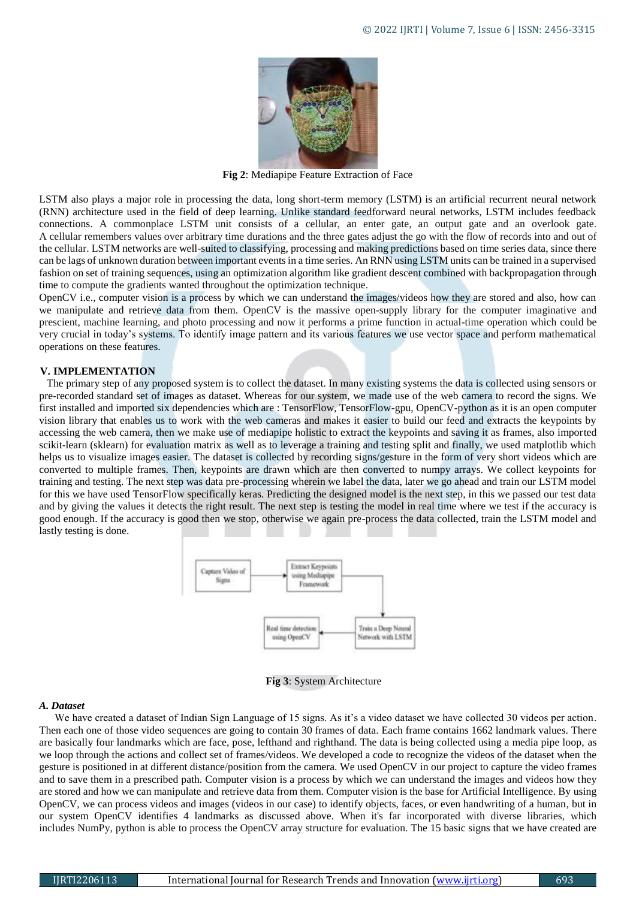

**Fig 2**: Mediapipe Feature Extraction of Face

LSTM also plays a major role in processing the data, long short-term memory (LSTM) is an artificial recurrent neural network (RNN) architecture used in the field of deep learning. Unlike standard feedforward neural networks, LSTM includes feedback connections. A commonplace LSTM unit consists of a cellular, an enter gate, an output gate and an overlook gate. A cellular remembers values over arbitrary time durations and the three gates adjust the go with the flow of records into and out of the cellular. LSTM networks are well-suited to classifying, processing and making predictions based on time series data, since there can be lags of unknown duration between important events in a time series. An RNN using LSTM units can be trained in a supervised fashion on set of training sequences, using an optimization algorithm like gradient descent combined with backpropagation through time to compute the gradients wanted throughout the optimization technique.

OpenCV i.e., computer vision is a process by which we can understand the images/videos how they are stored and also, how can we manipulate and retrieve data from them. OpenCV is the massive open-supply library for the computer imaginative and prescient, machine learning, and photo processing and now it performs a prime function in actual-time operation which could be very crucial in today's systems. To identify image pattern and its various features we use vector space and perform mathematical operations on these features.

# **V. IMPLEMENTATION**

The primary step of any proposed system is to collect the dataset. In many existing systems the data is collected using sensors or pre-recorded standard set of images as dataset. Whereas for our system, we made use of the web camera to record the signs. We first installed and imported six dependencies which are : TensorFlow, TensorFlow-gpu, OpenCV-python as it is an open computer vision library that enables us to work with the web cameras and makes it easier to build our feed and extracts the keypoints by accessing the web camera, then we make use of mediapipe holistic to extract the keypoints and saving it as frames, also imported scikit-learn (sklearn) for evaluation matrix as well as to leverage a training and testing split and finally, we used matplotlib which helps us to visualize images easier. The dataset is collected by recording signs/gesture in the form of very short videos which are converted to multiple frames. Then, keypoints are drawn which are then converted to numpy arrays. We collect keypoints for training and testing. The next step was data pre-processing wherein we label the data, later we go ahead and train our LSTM model for this we have used TensorFlow specifically keras. Predicting the designed model is the next step, in this we passed our test data and by giving the values it detects the right result. The next step is testing the model in real time where we test if the accuracy is good enough. If the accuracy is good then we stop, otherwise we again pre-process the data collected, train the LSTM model and lastly testing is done.



**Fig 3**: System Architecture

# *A. Dataset*

We have created a dataset of Indian Sign Language of 15 signs. As it's a video dataset we have collected 30 videos per action. Then each one of those video sequences are going to contain 30 frames of data. Each frame contains 1662 landmark values. There are basically four landmarks which are face, pose, lefthand and righthand. The data is being collected using a media pipe loop, as we loop through the actions and collect set of frames/videos. We developed a code to recognize the videos of the dataset when the gesture is positioned in at different distance/position from the camera. We used OpenCV in our project to capture the video frames and to save them in a prescribed path. Computer vision is a process by which we can understand the images and videos how they are stored and how we can manipulate and retrieve data from them. Computer vision is the base for Artificial Intelligence. By using OpenCV, we can process videos and images (videos in our case) to identify objects, faces, or even handwriting of a human, but in our system OpenCV identifies 4 landmarks as discussed above. When it's far incorporated with diverse libraries, which includes NumPy, python is able to process the OpenCV array structure for evaluation. The 15 basic signs that we have created are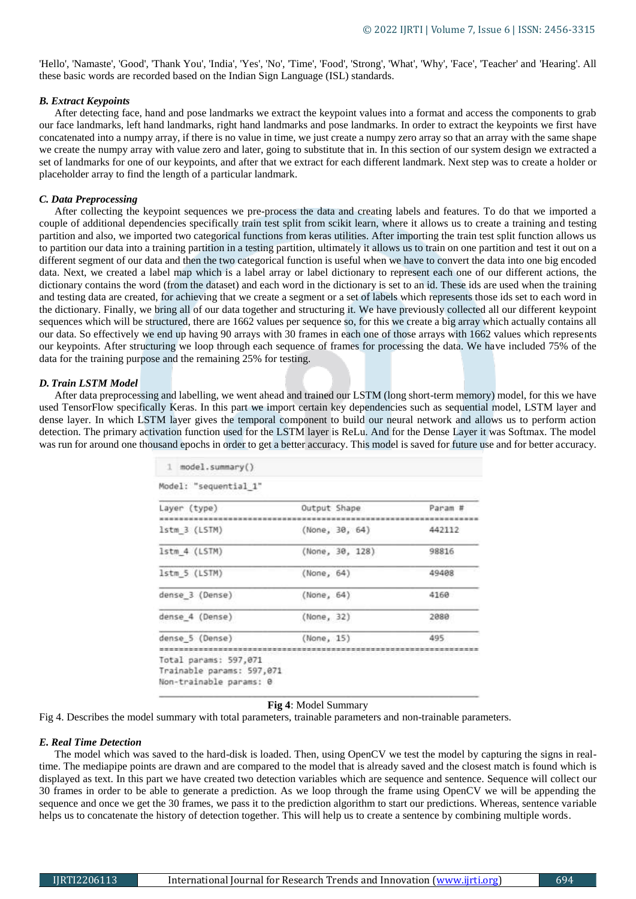'Hello', 'Namaste', 'Good', 'Thank You', 'India', 'Yes', 'No', 'Time', 'Food', 'Strong', 'What', 'Why', 'Face', 'Teacher' and 'Hearing'. All these basic words are recorded based on the Indian Sign Language (ISL) standards.

## *B. Extract Keypoints*

After detecting face, hand and pose landmarks we extract the keypoint values into a format and access the components to grab our face landmarks, left hand landmarks, right hand landmarks and pose landmarks. In order to extract the keypoints we first have concatenated into a numpy array, if there is no value in time, we just create a numpy zero array so that an array with the same shape we create the numpy array with value zero and later, going to substitute that in. In this section of our system design we extracted a set of landmarks for one of our keypoints, and after that we extract for each different landmark. Next step was to create a holder or placeholder array to find the length of a particular landmark.

#### *C. Data Preprocessing*

After collecting the keypoint sequences we pre-process the data and creating labels and features. To do that we imported a couple of additional dependencies specifically train test split from scikit learn, where it allows us to create a training and testing partition and also, we imported two categorical functions from keras utilities. After importing the train test split function allows us to partition our data into a training partition in a testing partition, ultimately it allows us to train on one partition and test it out on a different segment of our data and then the two categorical function is useful when we have to convert the data into one big encoded data. Next, we created a label map which is a label array or label dictionary to represent each one of our different actions, the dictionary contains the word (from the dataset) and each word in the dictionary is set to an id. These ids are used when the training and testing data are created, for achieving that we create a segment or a set of labels which represents those ids set to each word in the dictionary. Finally, we bring all of our data together and structuring it. We have previously collected all our different keypoint sequences which will be structured, there are 1662 values per sequence so, for this we create a big array which actually contains all our data. So effectively we end up having 90 arrays with 30 frames in each one of those arrays with 1662 values which represents our keypoints. After structuring we loop through each sequence of frames for processing the data. We have included 75% of the data for the training purpose and the remaining 25% for testing.

### *D. Train LSTM Model*

After data preprocessing and labelling, we went ahead and trained our LSTM (long short-term memory) model, for this we have used TensorFlow specifically Keras. In this part we import certain key dependencies such as sequential model, LSTM layer and dense layer. In which LSTM layer gives the temporal component to build our neural network and allows us to perform action detection. The primary activation function used for the LSTM layer is ReLu. And for the Dense Layer it was Softmax. The model was run for around one thousand epochs in order to get a better accuracy. This model is saved for future use and for better accuracy.

| 1 model.summary()                                                             |                 |         |
|-------------------------------------------------------------------------------|-----------------|---------|
| Model: "sequential 1"                                                         |                 |         |
| Layer (type)                                                                  | Output Shape    | Param # |
| Istm 3 (LSTM)                                                                 | (None, 30, 64)  | 442112  |
| Istm 4 (LSTM)                                                                 | (None, 30, 128) | 98816   |
| 1stm 5 (LSTM)                                                                 | (None, 64)      | 49408   |
| dense 3 (Dense)                                                               | (None, 64)      | 4160    |
| dense 4 (Dense)                                                               | (None, 32)      | 2080    |
| dense 5 (Dense)                                                               | (None, 15)      | 495     |
| Total params: 597,071<br>Trainable params: 597,071<br>Non-trainable params: 0 |                 |         |

#### **Fig 4**: Model Summary

Fig 4. Describes the model summary with total parameters, trainable parameters and non-trainable parameters.

### *E. Real Time Detection*

The model which was saved to the hard-disk is loaded. Then, using OpenCV we test the model by capturing the signs in realtime. The mediapipe points are drawn and are compared to the model that is already saved and the closest match is found which is displayed as text. In this part we have created two detection variables which are sequence and sentence. Sequence will collect our 30 frames in order to be able to generate a prediction. As we loop through the frame using OpenCV we will be appending the sequence and once we get the 30 frames, we pass it to the prediction algorithm to start our predictions. Whereas, sentence variable helps us to concatenate the history of detection together. This will help us to create a sentence by combining multiple words.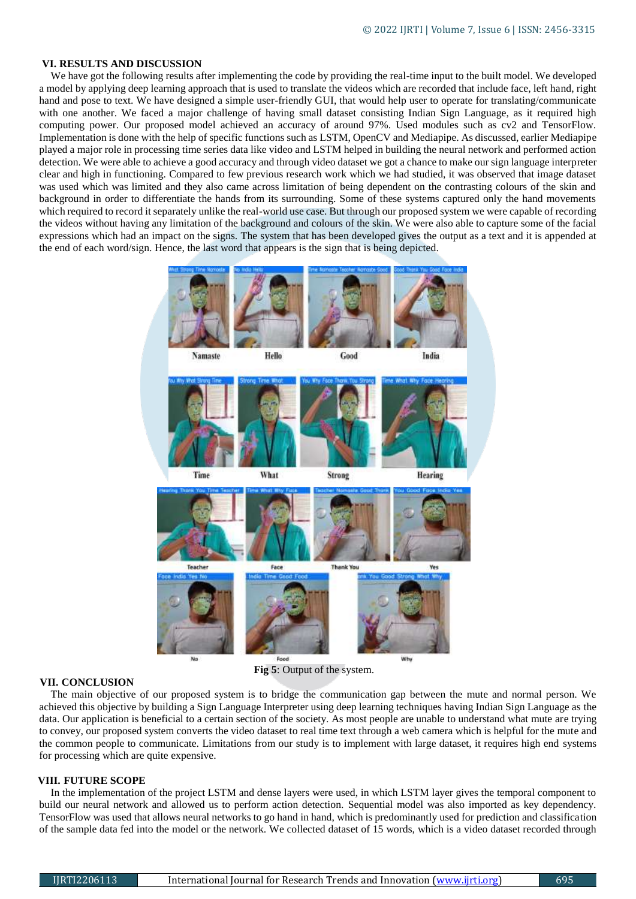# **VI. RESULTS AND DISCUSSION**

We have got the following results after implementing the code by providing the real-time input to the built model. We developed a model by applying deep learning approach that is used to translate the videos which are recorded that include face, left hand, right hand and pose to text. We have designed a simple user-friendly GUI, that would help user to operate for translating/communicate with one another. We faced a major challenge of having small dataset consisting Indian Sign Language, as it required high computing power. Our proposed model achieved an accuracy of around 97%. Used modules such as cv2 and TensorFlow. Implementation is done with the help of specific functions such as LSTM, OpenCV and Mediapipe. As discussed, earlier Mediapipe played a major role in processing time series data like video and LSTM helped in building the neural network and performed action detection. We were able to achieve a good accuracy and through video dataset we got a chance to make our sign language interpreter clear and high in functioning. Compared to few previous research work which we had studied, it was observed that image dataset was used which was limited and they also came across limitation of being dependent on the contrasting colours of the skin and background in order to differentiate the hands from its surrounding. Some of these systems captured only the hand movements which required to record it separately unlike the real-world use case. But through our proposed system we were capable of recording the videos without having any limitation of the background and colours of the skin. We were also able to capture some of the facial expressions which had an impact on the signs. The system that has been developed gives the output as a text and it is appended at the end of each word/sign. Hence, the last word that appears is the sign that is being depicted.



#### **VII. CONCLUSION**

The main objective of our proposed system is to bridge the communication gap between the mute and normal person. We achieved this objective by building a Sign Language Interpreter using deep learning techniques having Indian Sign Language as the data. Our application is beneficial to a certain section of the society. As most people are unable to understand what mute are trying to convey, our proposed system converts the video dataset to real time text through a web camera which is helpful for the mute and the common people to communicate. Limitations from our study is to implement with large dataset, it requires high end systems for processing which are quite expensive.

## **VIII. FUTURE SCOPE**

In the implementation of the project LSTM and dense layers were used, in which LSTM layer gives the temporal component to build our neural network and allowed us to perform action detection. Sequential model was also imported as key dependency. TensorFlow was used that allows neural networks to go hand in hand, which is predominantly used for prediction and classification of the sample data fed into the model or the network. We collected dataset of 15 words, which is a video dataset recorded through